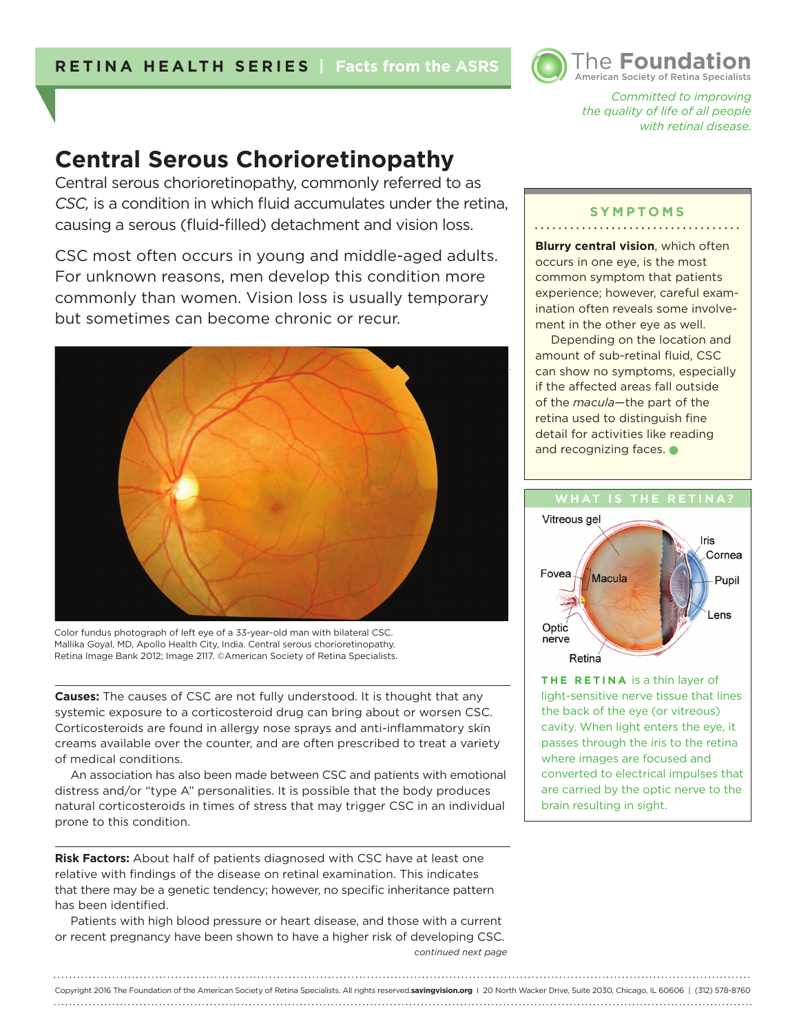

*Committed to improving the quality of life of all people with retinal disease.* 

# **Central Serous Chorioretinopathy**

Central serous chorioretinopathy, commonly referred to as *CSC,* is a condition in which fluid accumulates under the retina, causing a serous (fluid-filled) detachment and vision loss.

CSC most often occurs in young and middle-aged adults. For unknown reasons, men develop this condition more commonly than women. Vision loss is usually temporary but sometimes can become chronic or recur.



Color fundus photograph of left eye of a 33-year-old man with bilateral CSC. Mallika Goyal, MD, Apollo Health City, India. Central serous chorioretinopathy. Retina Image Bank 2012; Image 2117. ©American Society of Retina Specialists.

**Causes:** The causes of CSC are not fully understood. It is thought that any systemic exposure to a corticosteroid drug can bring about or worsen CSC. Corticosteroids are found in allergy nose sprays and anti-inflammatory skin creams available over the counter, and are often prescribed to treat a variety of medical conditions.

An association has also been made between CSC and patients with emotional distress and/or "type A" personalities. It is possible that the body produces natural corticosteroids in times of stress that may trigger CSC in an individual prone to this condition.

**Risk Factors:** About half of patients diagnosed with CSC have at least one relative with findings of the disease on retinal examination. This indicates that there may be a genetic tendency; however, no specific inheritance pattern has been identified.

*continued next page* Patients with high blood pressure or heart disease, and those with a current or recent pregnancy have been shown to have a higher risk of developing CSC.

#### **SYMPTOMS**

**Blurry central vision**, which often occurs in one eye, is the most common symptom that patients experience; however, careful examination often reveals some involvement in the other eye as well.

Depending on the location and amount of sub-retinal fluid, CSC can show no symptoms, especially if the affected areas fall outside of the *macula*—the part of the retina used to distinguish fine detail for activities like reading and recognizing faces.  $\bullet$ 



**THE RETINA** is a thin layer of light-sensitive nerve tissue that lines the back of the eye (or vitreous) cavity. When light enters the eye, it passes through the iris to the retina where images are focused and converted to electrical impulses that are carried by the optic nerve to the brain resulting in sight.

### Copyright 2016 The Foundation of the American Society of Retina Specialists. All rights reserved.**savingvision.org** I 20 North Wacker Drive, Suite 2030, Chicago, IL 60606 | (312) 578-8760